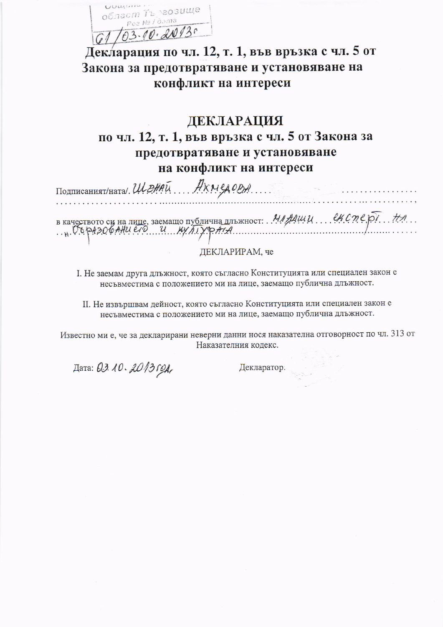UUWUIN. област Търгозище Pea Nº l'àama 103.10.2013.

Декларация по чл. 12, т. 1, във връзка с чл. 5 от Закона за предотвратяване и установяване на конфликт на интереси

## ДЕКЛАРАЦИЯ по чл. 12, т. 1, във връзка с чл. 5 от Закона за предотвратяване и установяване на конфликт на интереси

Подписаният/ната/ ШЕНАЙ ДХМСДОВА в качеството си на лице, заемащо публична длъжност:  $M/M$ 

ЛЕКЛАРИРАМ, че

I. Не заемам друга длъжност, която съгласно Конституцията или специален закон е несъвместима с положението ми на лице, заемащо публична длъжност.

II. Не извършвам дейност, която съгласно Конституцията или специален закон е несъвместима с положението ми на лице, заемащо публична длъжност.

Известно ми е, че за декларирани неверни данни нося наказателна отговорност по чл. 313 от Наказателния кодекс.

Дата: 03.10.2013 год,

Декларатор.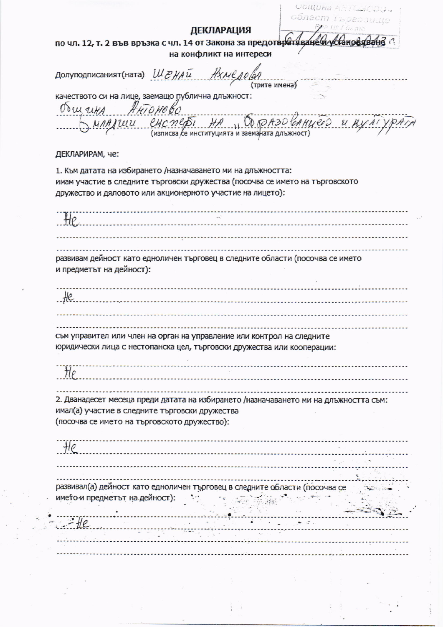Община АНТСАЮ! област Търгозище **ДЕКЛАРАЦИЯ** по чл. 12, т. 2 във връзка с чл. 14 от Закона за предотвратяване и ус *<u>САНОВИВАНО</u>* на конфликт на интереси Долуподписаният(ната) Ш*РНА* и (трите имена) качеството си на лице, заемащо публична длъжност: Ocu utA  $U0$   $R$   $A$   $3$   $0$   $t$ (изписва се институцията и заеманата длъжност) ДЕКЛАРИРАМ, че: 1. Към датата на избирането /назначаването ми на длъжността: имам участие в следните търговски дружества (посочва се името на търговското дружество и дяловото или акционерното участие на лицето): . . . . . . . . . . . . . . . . . . . . развивам дейност като едноличен търговец в следните области (посочва се името и предметът на дейност): съм управител или член на орган на управление или контрол на следните юридически лица с нестопанска цел, търговски дружества или кооперации: 2. Дванадесет месеца преди датата на избирането /назначаването ми на длъжността съм: имал(а) участие в следните търговски дружества (посочва се името на търговското дружество): развивал(а) дейност като едноличен търговец в следните области (посочва се името и предметът на дейност): - 71